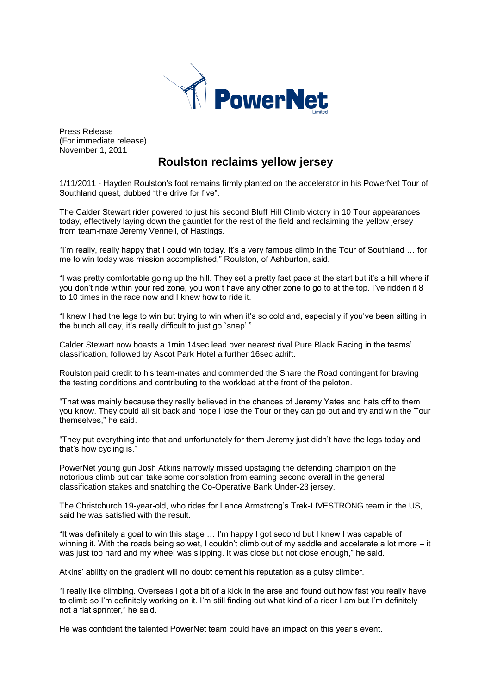

Press Release (For immediate release) November 1, 2011

# **Roulston reclaims yellow jersey**

1/11/2011 - Hayden Roulston's foot remains firmly planted on the accelerator in his PowerNet Tour of Southland quest, dubbed "the drive for five".

The Calder Stewart rider powered to just his second Bluff Hill Climb victory in 10 Tour appearances today, effectively laying down the gauntlet for the rest of the field and reclaiming the yellow jersey from team-mate Jeremy Vennell, of Hastings.

"I'm really, really happy that I could win today. It's a very famous climb in the Tour of Southland … for me to win today was mission accomplished," Roulston, of Ashburton, said.

"I was pretty comfortable going up the hill. They set a pretty fast pace at the start but it's a hill where if you don't ride within your red zone, you won't have any other zone to go to at the top. I've ridden it 8 to 10 times in the race now and I knew how to ride it.

"I knew I had the legs to win but trying to win when it's so cold and, especially if you've been sitting in the bunch all day, it's really difficult to just go `snap'."

Calder Stewart now boasts a 1min 14sec lead over nearest rival Pure Black Racing in the teams' classification, followed by Ascot Park Hotel a further 16sec adrift.

Roulston paid credit to his team-mates and commended the Share the Road contingent for braving the testing conditions and contributing to the workload at the front of the peloton.

"That was mainly because they really believed in the chances of Jeremy Yates and hats off to them you know. They could all sit back and hope I lose the Tour or they can go out and try and win the Tour themselves," he said.

"They put everything into that and unfortunately for them Jeremy just didn't have the legs today and that's how cycling is."

PowerNet young gun Josh Atkins narrowly missed upstaging the defending champion on the notorious climb but can take some consolation from earning second overall in the general classification stakes and snatching the Co-Operative Bank Under-23 jersey.

The Christchurch 19-year-old, who rides for Lance Armstrong's Trek-LIVESTRONG team in the US, said he was satisfied with the result.

"It was definitely a goal to win this stage … I'm happy I got second but I knew I was capable of winning it. With the roads being so wet, I couldn't climb out of my saddle and accelerate a lot more – it was just too hard and my wheel was slipping. It was close but not close enough," he said.

Atkins' ability on the gradient will no doubt cement his reputation as a gutsy climber.

"I really like climbing. Overseas I got a bit of a kick in the arse and found out how fast you really have to climb so I'm definitely working on it. I'm still finding out what kind of a rider I am but I'm definitely not a flat sprinter," he said.

He was confident the talented PowerNet team could have an impact on this year's event.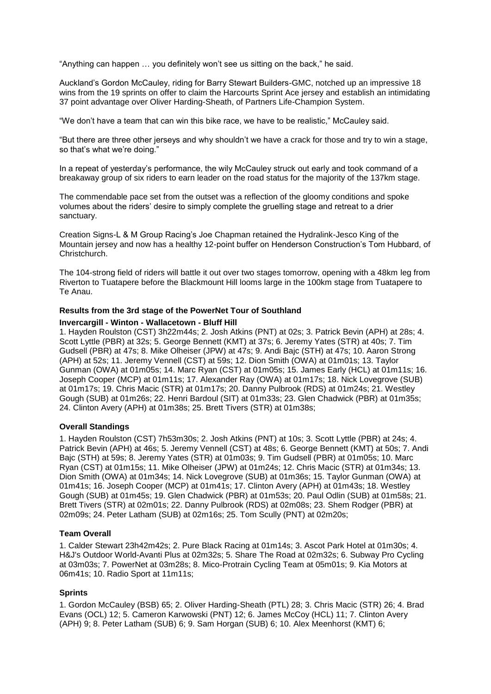"Anything can happen … you definitely won't see us sitting on the back," he said.

Auckland's Gordon McCauley, riding for Barry Stewart Builders-GMC, notched up an impressive 18 wins from the 19 sprints on offer to claim the Harcourts Sprint Ace jersey and establish an intimidating 37 point advantage over Oliver Harding-Sheath, of Partners Life-Champion System.

"We don't have a team that can win this bike race, we have to be realistic," McCauley said.

"But there are three other jerseys and why shouldn't we have a crack for those and try to win a stage, so that's what we're doing."

In a repeat of yesterday's performance, the wily McCauley struck out early and took command of a breakaway group of six riders to earn leader on the road status for the majority of the 137km stage.

The commendable pace set from the outset was a reflection of the gloomy conditions and spoke volumes about the riders' desire to simply complete the gruelling stage and retreat to a drier sanctuary.

Creation Signs-L & M Group Racing's Joe Chapman retained the Hydralink-Jesco King of the Mountain jersey and now has a healthy 12-point buffer on Henderson Construction's Tom Hubbard, of Christchurch.

The 104-strong field of riders will battle it out over two stages tomorrow, opening with a 48km leg from Riverton to Tuatapere before the Blackmount Hill looms large in the 100km stage from Tuatapere to Te Anau.

#### **Results from the 3rd stage of the PowerNet Tour of Southland**

#### **Invercargill - Winton - Wallacetown - Bluff Hill**

1. Hayden Roulston (CST) 3h22m44s; 2. Josh Atkins (PNT) at 02s; 3. Patrick Bevin (APH) at 28s; 4. Scott Lyttle (PBR) at 32s; 5. George Bennett (KMT) at 37s; 6. Jeremy Yates (STR) at 40s; 7. Tim Gudsell (PBR) at 47s; 8. Mike Olheiser (JPW) at 47s; 9. Andi Bajc (STH) at 47s; 10. Aaron Strong (APH) at 52s; 11. Jeremy Vennell (CST) at 59s; 12. Dion Smith (OWA) at 01m01s; 13. Taylor Gunman (OWA) at 01m05s; 14. Marc Ryan (CST) at 01m05s; 15. James Early (HCL) at 01m11s; 16. Joseph Cooper (MCP) at 01m11s; 17. Alexander Ray (OWA) at 01m17s; 18. Nick Lovegrove (SUB) at 01m17s; 19. Chris Macic (STR) at 01m17s; 20. Danny Pulbrook (RDS) at 01m24s; 21. Westley Gough (SUB) at 01m26s; 22. Henri Bardoul (SIT) at 01m33s; 23. Glen Chadwick (PBR) at 01m35s; 24. Clinton Avery (APH) at 01m38s; 25. Brett Tivers (STR) at 01m38s;

### **Overall Standings**

1. Hayden Roulston (CST) 7h53m30s; 2. Josh Atkins (PNT) at 10s; 3. Scott Lyttle (PBR) at 24s; 4. Patrick Bevin (APH) at 46s; 5. Jeremy Vennell (CST) at 48s; 6. George Bennett (KMT) at 50s; 7. Andi Bajc (STH) at 59s; 8. Jeremy Yates (STR) at 01m03s; 9. Tim Gudsell (PBR) at 01m05s; 10. Marc Ryan (CST) at 01m15s; 11. Mike Olheiser (JPW) at 01m24s; 12. Chris Macic (STR) at 01m34s; 13. Dion Smith (OWA) at 01m34s; 14. Nick Lovegrove (SUB) at 01m36s; 15. Taylor Gunman (OWA) at 01m41s; 16. Joseph Cooper (MCP) at 01m41s; 17. Clinton Avery (APH) at 01m43s; 18. Westley Gough (SUB) at 01m45s; 19. Glen Chadwick (PBR) at 01m53s; 20. Paul Odlin (SUB) at 01m58s; 21. Brett Tivers (STR) at 02m01s; 22. Danny Pulbrook (RDS) at 02m08s; 23. Shem Rodger (PBR) at 02m09s; 24. Peter Latham (SUB) at 02m16s; 25. Tom Scully (PNT) at 02m20s;

#### **Team Overall**

1. Calder Stewart 23h42m42s; 2. Pure Black Racing at 01m14s; 3. Ascot Park Hotel at 01m30s; 4. H&J's Outdoor World-Avanti Plus at 02m32s; 5. Share The Road at 02m32s; 6. Subway Pro Cycling at 03m03s; 7. PowerNet at 03m28s; 8. Mico-Protrain Cycling Team at 05m01s; 9. Kia Motors at 06m41s; 10. Radio Sport at 11m11s;

### **Sprints**

1. Gordon McCauley (BSB) 65; 2. Oliver Harding-Sheath (PTL) 28; 3. Chris Macic (STR) 26; 4. Brad Evans (OCL) 12; 5. Cameron Karwowski (PNT) 12; 6. James McCoy (HCL) 11; 7. Clinton Avery (APH) 9; 8. Peter Latham (SUB) 6; 9. Sam Horgan (SUB) 6; 10. Alex Meenhorst (KMT) 6;